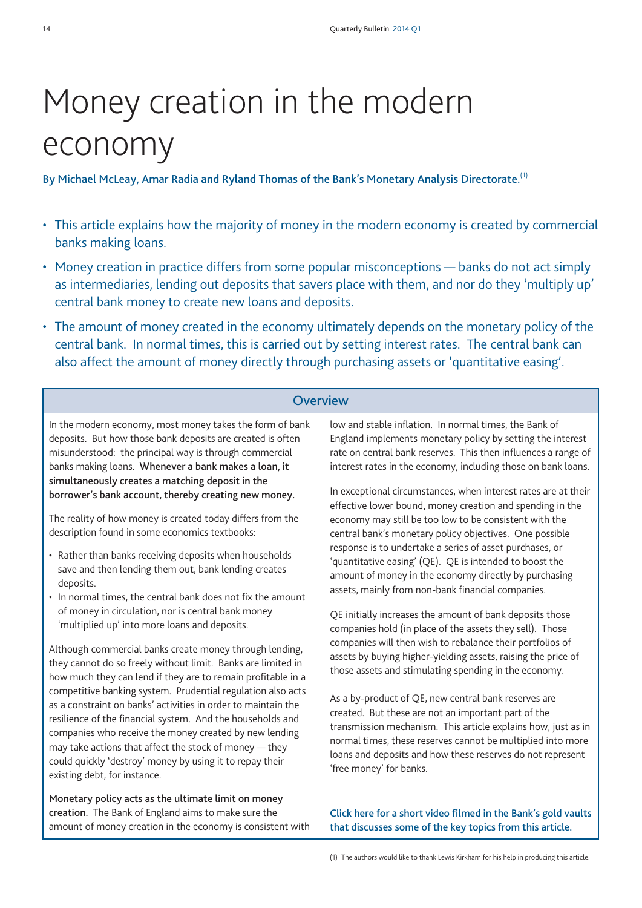# Money creation in the modern economy

**By Michael McLeay, Amar Radia and Ryland Thomas of the Bank's Monetary Analysis Directorate.**(1)

- This article explains how the majority of money in the modern economy is created by commercial banks making loans.
- Money creation in practice differs from some popular misconceptions banks do not act simply as intermediaries, lending out deposits that savers place with them, and nor do they 'multiply up' central bank money to create new loans and deposits.
- The amount of money created in the economy ultimately depends on the monetary policy of the central bank. In normal times, this is carried out by setting interest rates. The central bank can also affect the amount of money directly through purchasing assets or 'quantitative easing'.

# **Overview**

deposits. But how those bank deposits are created is often England implements monetary policy by setting the interest misunderstood: the principal way is through commercial rate on central bank reserves. This then influences a range of banks making loans. **Whenever a bank makes a loan, it** interest rates in the economy, including those on bank loans. **simultaneously creates a matching deposit in the borrower's bank account, thereby creating new money.** In exceptional circumstances, when interest rates are at their

- 
- of money in circulation, nor is central bank money  $\bigcirc$  QE initially increases the amount of bank deposits those<br>
'multiplied up' into more loans and deposits.<br>
companies hold (in place of the assets they sell) Those

competitive banking system. Prudential regulation also acts<br>as a constraint on banks' activities in order to maintain the<br>resilience of the financial system. And the households and<br>companies who receive the money created b

**Monetary policy acts as the ultimate limit on money creation.** The Bank of England aims to make sure the **[Click here for a short video filmed in the Bank's gold vaults](www.youtube.com/watch?v=CvRAqR2pAgw)**  amount of money creation in the economy is consistent with **that discusses some of the key topics from this article.** 

In the modern economy, most money takes the form of bank low and stable inflation. In normal times, the Bank of

effective lower bound, money creation and spending in the The reality of how money is created today differs from the economy may still be too low to be consistent with the description found in some economics textbooks: central bank's monetary policy objectives. One possible • Rather than banks receiving deposits when households<br>save and then lending them out, bank lending creates<br>deposits.<br>In normal times, the central bank does not fix the amount<br>of money in the economy directly by purchasing

companies hold (in place of the assets they sell). Those Although commercial banks create money through lending,<br>they cannot do so freely without limit. Banks are limited in<br>how much they can lend if they are to remain profitable in a<br>howe assets and stimulating spending in the

(1) The authors would like to thank Lewis Kirkham for his help in producing this article.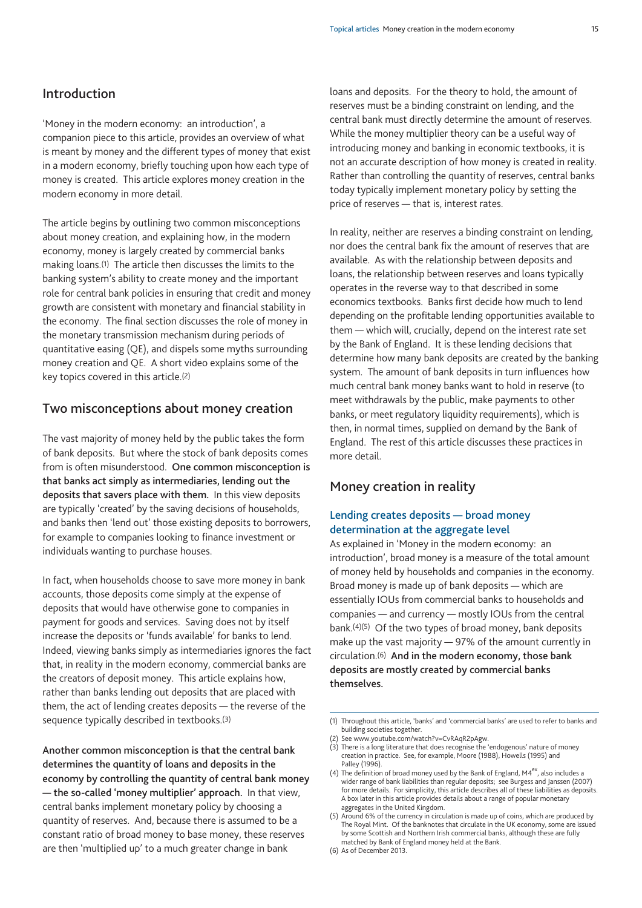# **Introduction**

'Money in the modern economy: an introduction', a companion piece to this article, provides an overview of what is meant by money and the different types of money that exist in a modern economy, briefly touching upon how each type of money is created. This article explores money creation in the modern economy in more detail.

The article begins by outlining two common misconceptions about money creation, and explaining how, in the modern economy, money is largely created by commercial banks making loans.(1) The article then discusses the limits to the banking system's ability to create money and the important role for central bank policies in ensuring that credit and money growth are consistent with monetary and financial stability in the economy. The final section discusses the role of money in the monetary transmission mechanism during periods of quantitative easing (QE), and dispels some myths surrounding money creation and QE. A short video explains some of the key topics covered in this article.(2)

# **Two misconceptions about money creation**

The vast majority of money held by the public takes the form of bank deposits. But where the stock of bank deposits comes from is often misunderstood. **One common misconception is that banks act simply as intermediaries, lending out the deposits that savers place with them.** In this view deposits are typically 'created' by the saving decisions of households, and banks then 'lend out' those existing deposits to borrowers, for example to companies looking to finance investment or individuals wanting to purchase houses.

In fact, when households choose to save more money in bank accounts, those deposits come simply at the expense of deposits that would have otherwise gone to companies in payment for goods and services. Saving does not by itself increase the deposits or 'funds available' for banks to lend. Indeed, viewing banks simply as intermediaries ignores the fact that, in reality in the modern economy, commercial banks are the creators of deposit money. This article explains how, rather than banks lending out deposits that are placed with them, the act of lending creates deposits — the reverse of the sequence typically described in textbooks.(3)

**Another common misconception is that the central bank determines the quantity of loans and deposits in the economy by controlling the quantity of central bank money — the so-called 'money multiplier' approach.** In that view, central banks implement monetary policy by choosing a quantity of reserves. And, because there is assumed to be a constant ratio of broad money to base money, these reserves are then 'multiplied up' to a much greater change in bank

loans and deposits. For the theory to hold, the amount of reserves must be a binding constraint on lending, and the central bank must directly determine the amount of reserves. While the money multiplier theory can be a useful way of introducing money and banking in economic textbooks, it is not an accurate description of how money is created in reality. Rather than controlling the quantity of reserves, central banks today typically implement monetary policy by setting the price of reserves — that is, interest rates.

In reality, neither are reserves a binding constraint on lending, nor does the central bank fix the amount of reserves that are available. As with the relationship between deposits and loans, the relationship between reserves and loans typically operates in the reverse way to that described in some economics textbooks. Banks first decide how much to lend depending on the profitable lending opportunities available to them — which will, crucially, depend on the interest rate set by the Bank of England. It is these lending decisions that determine how many bank deposits are created by the banking system. The amount of bank deposits in turn influences how much central bank money banks want to hold in reserve (to meet withdrawals by the public, make payments to other banks, or meet regulatory liquidity requirements), which is then, in normal times, supplied on demand by the Bank of England. The rest of this article discusses these practices in more detail.

### **Money creation in reality**

# **Lending creates deposits — broad money determination at the aggregate level**

As explained in 'Money in the modern economy: an introduction', broad money is a measure of the total amount of money held by households and companies in the economy. Broad money is made up of bank deposits — which are essentially IOUs from commercial banks to households and companies — and currency — mostly IOUs from the central bank.(4)(5) Of the two types of broad money, bank deposits make up the vast majority — 97% of the amount currently in circulation.(6) **And in the modern economy, those bank deposits are mostly created by commercial banks themselves.** 

<sup>(1)</sup> Throughout this article, 'banks' and 'commercial banks' are used to refer to banks and building societies together.

See www.youtube.com/watch?v=CvRAqR2pAgw.

<sup>(3)</sup> There is a long literature that does recognise the 'endogenous' nature of money creation in practice. See, for example, Moore (1988), Howells (1995) and Palley (1996).

<sup>(4)</sup> The definition of broad money used by the Bank of England,  $M4<sup>ex</sup>$ , also includes a wider range of bank liabilities than regular deposits; see Burgess and Janssen (2007) for more details. For simplicity, this article describes all of these liabilities as deposits. A box later in this article provides details about a range of popular monetary aggregates in the United Kingdom.

<sup>(5)</sup> Around 6% of the currency in circulation is made up of coins, which are produced by The Royal Mint. Of the banknotes that circulate in the UK economy, some are issued by some Scottish and Northern Irish commercial banks, although these are fully matched by Bank of England money held at the Bank.

<sup>(6)</sup> As of December 2013.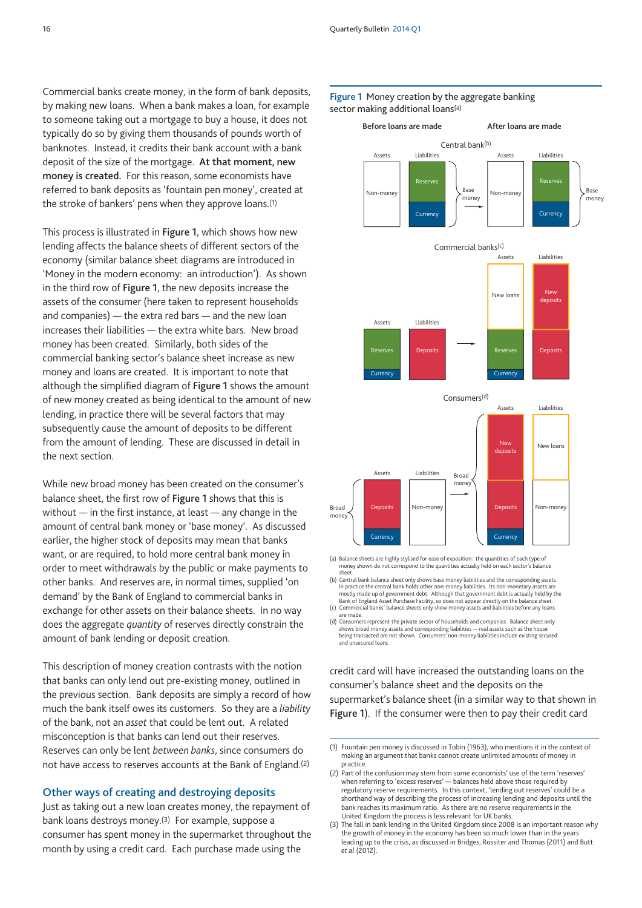sector making additional loans<sup>(a)</sup>

**Figure 1** Money creation by the aggregate banking

Commercial banks create money, in the form of bank deposits, by making new loans. When a bank makes a loan, for example to someone taking out a mortgage to buy a house, it does not typically do so by giving them thousands of pounds worth of banknotes. Instead, it credits their bank account with a bank deposit of the size of the mortgage. **At that moment, new money is created.** For this reason, some economists have referred to bank deposits as 'fountain pen money', created at the stroke of bankers' pens when they approve loans.(1)

This process is illustrated in **Figure 1**, which shows how new lending affects the balance sheets of different sectors of the economy (similar balance sheet diagrams are introduced in 'Money in the modern economy: an introduction'). As shown in the third row of **Figure 1**, the new deposits increase the assets of the consumer (here taken to represent households and companies) — the extra red bars — and the new loan increases their liabilities — the extra white bars. New broad money has been created. Similarly, both sides of the commercial banking sector's balance sheet increase as new money and loans are created. It is important to note that although the simplified diagram of **Figure 1** shows the amount of new money created as being identical to the amount of new lending, in practice there will be several factors that may subsequently cause the amount of deposits to be different from the amount of lending. These are discussed in detail in the next section.

While new broad money has been created on the consumer's balance sheet, the first row of **Figure 1** shows that this is without — in the first instance, at least — any change in the amount of central bank money or 'base money'. As discussed earlier, the higher stock of deposits may mean that banks want, or are required, to hold more central bank money in order to meet withdrawals by the public or make payments to other banks. And reserves are, in normal times, supplied 'on demand' by the Bank of England to commercial banks in exchange for other assets on their balance sheets. In no way does the aggregate *quantity* of reserves directly constrain the amount of bank lending or deposit creation.

This description of money creation contrasts with the notion that banks can only lend out pre-existing money, outlined in the previous section. Bank deposits are simply a record of how much the bank itself owes its customers. So they are a *liability*  of the bank, not an *asset* that could be lent out. A related misconception is that banks can lend out their reserves. Reserves can only be lent *between banks*, since consumers do not have access to reserves accounts at the Bank of England.(2)

#### **Other ways of creating and destroying deposits**

Just as taking out a new loan creates money, the repayment of bank loans destroys money.(3) For example, suppose a consumer has spent money in the supermarket throughout the month by using a credit card. Each purchase made using the



(a) Balance sheets are highly stylised for ease of exposition: the quantities of each type of money shown do not correspond to the quantities actually held on each sector's balance sheet.

(b) Central bank balance sheet only shows base money liabilities and the corresponding assets.<br>In practice the central bank holds other non-mone liabilities. Its non-monetary assets are<br>Inostly made up of government debt.

Bank of England Asset Purchase Facility, so does not appear directly on the balance sheet. (c) Commercial banks' balance sheets only show money assets and liabilities before any loans are made.

(d) Consumers represent the private sector of households and companies. Balance sheet only<br>shows broad money assets and corresponding liabilities — real assets such as the house<br>being transacted are not shown. Consumers' n and unsecured loans.

credit card will have increased the outstanding loans on the consumer's balance sheet and the deposits on the supermarket's balance sheet (in a similar way to that shown in **Figure 1**). If the consumer were then to pay their credit card

<sup>(1)</sup> Fountain pen money is discussed in Tobin (1963), who mentions it in the context of making an argument that banks cannot create unlimited amounts of money in practice.

<sup>(2)</sup> Part of the confusion may stem from some economists' use of the term 'reserves' when referring to 'excess reserves' - balances held above those required by regulatory reserve requirements. In this context, 'lending out reserves' could be a shorthand way of describing the process of increasing lending and deposits until the bank reaches its maximum ratio. As there are no reserve requirements in the United Kingdom the process is less relevant for UK banks.

<sup>(3)</sup> The fall in bank lending in the United Kingdom since 2008 is an important reason why the growth of money in the economy has been so much lower than in the years leading up to the crisis, as discussed in Bridges, Rossiter and Thomas (2011) and Butt *et al* (2012).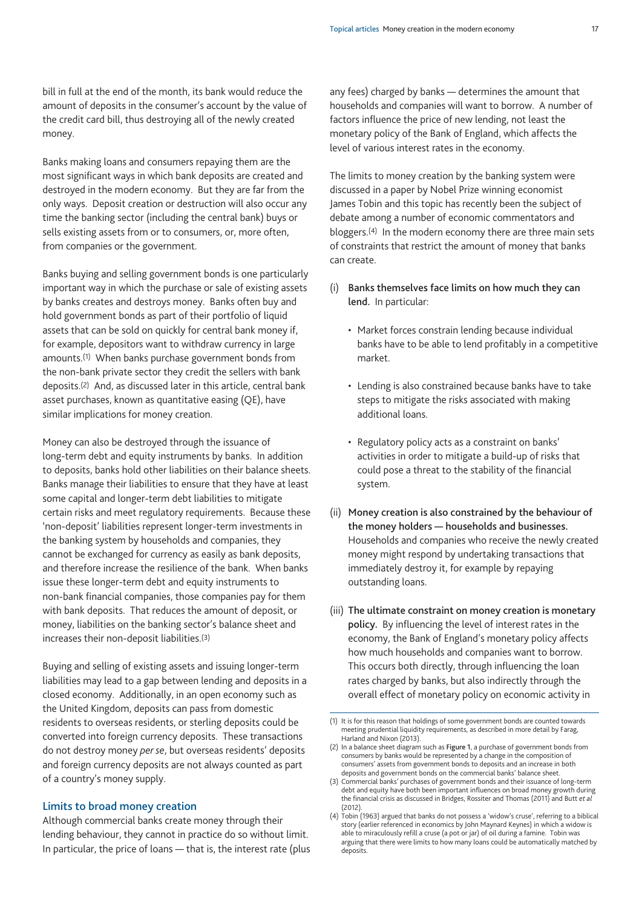bill in full at the end of the month, its bank would reduce the amount of deposits in the consumer's account by the value of the credit card bill, thus destroying all of the newly created money.

Banks making loans and consumers repaying them are the most significant ways in which bank deposits are created and destroyed in the modern economy. But they are far from the only ways. Deposit creation or destruction will also occur any time the banking sector (including the central bank) buys or sells existing assets from or to consumers, or, more often, from companies or the government.

Banks buying and selling government bonds is one particularly important way in which the purchase or sale of existing assets by banks creates and destroys money. Banks often buy and hold government bonds as part of their portfolio of liquid assets that can be sold on quickly for central bank money if, for example, depositors want to withdraw currency in large amounts.<sup>(1)</sup> When banks purchase government bonds from the non-bank private sector they credit the sellers with bank deposits.(2) And, as discussed later in this article, central bank asset purchases, known as quantitative easing (QE), have similar implications for money creation.

Money can also be destroyed through the issuance of long-term debt and equity instruments by banks. In addition to deposits, banks hold other liabilities on their balance sheets. Banks manage their liabilities to ensure that they have at least some capital and longer-term debt liabilities to mitigate certain risks and meet regulatory requirements. Because these 'non-deposit' liabilities represent longer-term investments in the banking system by households and companies, they cannot be exchanged for currency as easily as bank deposits, and therefore increase the resilience of the bank. When banks issue these longer-term debt and equity instruments to non-bank financial companies, those companies pay for them with bank deposits. That reduces the amount of deposit, or money, liabilities on the banking sector's balance sheet and increases their non-deposit liabilities.(3)

Buying and selling of existing assets and issuing longer-term liabilities may lead to a gap between lending and deposits in a closed economy. Additionally, in an open economy such as the United Kingdom, deposits can pass from domestic residents to overseas residents, or sterling deposits could be converted into foreign currency deposits. These transactions do not destroy money *per se*, but overseas residents' deposits and foreign currency deposits are not always counted as part of a country's money supply.

#### **Limits to broad money creation**

Although commercial banks create money through their lending behaviour, they cannot in practice do so without limit. In particular, the price of loans — that is, the interest rate (plus any fees) charged by banks — determines the amount that households and companies will want to borrow. A number of factors influence the price of new lending, not least the monetary policy of the Bank of England, which affects the level of various interest rates in the economy.

The limits to money creation by the banking system were discussed in a paper by Nobel Prize winning economist James Tobin and this topic has recently been the subject of debate among a number of economic commentators and bloggers.(4) In the modern economy there are three main sets of constraints that restrict the amount of money that banks can create.

- (i) **Banks themselves face limits on how much they can lend.** In particular:
	- Market forces constrain lending because individual banks have to be able to lend profitably in a competitive market.
	- Lending is also constrained because banks have to take steps to mitigate the risks associated with making additional loans.
	- Regulatory policy acts as a constraint on banks' activities in order to mitigate a build-up of risks that could pose a threat to the stability of the financial system.
- (ii) **Money creation is also constrained by the behaviour of the money holders — households and businesses.**  Households and companies who receive the newly created money might respond by undertaking transactions that immediately destroy it, for example by repaying outstanding loans.
- (iii) **The ultimate constraint on money creation is monetary policy.** By influencing the level of interest rates in the economy, the Bank of England's monetary policy affects how much households and companies want to borrow. This occurs both directly, through influencing the loan rates charged by banks, but also indirectly through the overall effect of monetary policy on economic activity in

<sup>(1)</sup> It is for this reason that holdings of some government bonds are counted towards meeting prudential liquidity requirements, as described in more detail by Farag, Harland and Nixon (2013).

<sup>(2)</sup> In a balance sheet diagram such as **Figure 1**, a purchase of government bonds from consumers by banks would be represented by a change in the composition of consumers' assets from government bonds to deposits and an increase in both deposits and government bonds on the commercial banks' balance sheet.

<sup>(3)</sup> Commercial banks' purchases of government bonds and their issuance of long-term debt and equity have both been important influences on broad money growth during the financial crisis as discussed in Bridges, Rossiter and Thomas (2011) and Butt *et al*   $(2012)$ 

<sup>(4)</sup> Tobin (1963) argued that banks do not possess a 'widow's cruse', referring to a biblical story (earlier referenced in economics by John Maynard Keynes) in which a widow is able to miraculously refill a cruse (a pot or jar) of oil during a famine. Tobin was arguing that there were limits to how many loans could be automatically matched by deposits.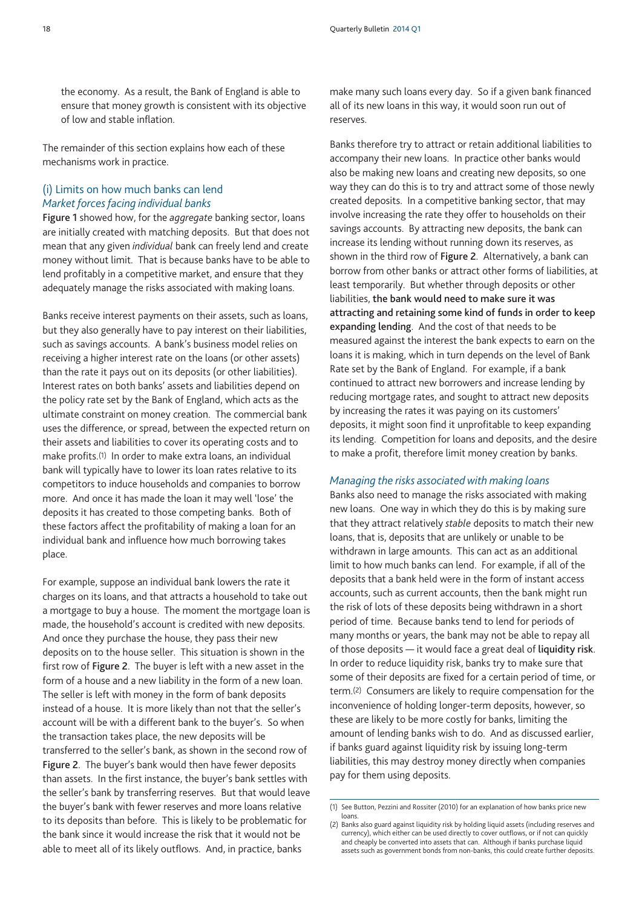the economy. As a result, the Bank of England is able to ensure that money growth is consistent with its objective of low and stable inflation.

The remainder of this section explains how each of these mechanisms work in practice.

## (i) Limits on how much banks can lend *Market forces facing individual banks*

**Figure 1** showed how, for the *aggregate* banking sector, loans are initially created with matching deposits. But that does not mean that any given *individual* bank can freely lend and create money without limit. That is because banks have to be able to lend profitably in a competitive market, and ensure that they adequately manage the risks associated with making loans.

Banks receive interest payments on their assets, such as loans, but they also generally have to pay interest on their liabilities, such as savings accounts. A bank's business model relies on receiving a higher interest rate on the loans (or other assets) than the rate it pays out on its deposits (or other liabilities). Interest rates on both banks' assets and liabilities depend on the policy rate set by the Bank of England, which acts as the ultimate constraint on money creation. The commercial bank uses the difference, or spread, between the expected return on their assets and liabilities to cover its operating costs and to make profits.(1) In order to make extra loans, an individual bank will typically have to lower its loan rates relative to its competitors to induce households and companies to borrow more. And once it has made the loan it may well 'lose' the deposits it has created to those competing banks. Both of these factors affect the profitability of making a loan for an individual bank and influence how much borrowing takes place.

For example, suppose an individual bank lowers the rate it charges on its loans, and that attracts a household to take out a mortgage to buy a house. The moment the mortgage loan is made, the household's account is credited with new deposits. And once they purchase the house, they pass their new deposits on to the house seller. This situation is shown in the first row of **Figure 2**. The buyer is left with a new asset in the form of a house and a new liability in the form of a new loan. The seller is left with money in the form of bank deposits instead of a house. It is more likely than not that the seller's account will be with a different bank to the buyer's. So when the transaction takes place, the new deposits will be transferred to the seller's bank, as shown in the second row of **Figure 2**. The buyer's bank would then have fewer deposits than assets. In the first instance, the buyer's bank settles with the seller's bank by transferring reserves. But that would leave the buyer's bank with fewer reserves and more loans relative to its deposits than before. This is likely to be problematic for the bank since it would increase the risk that it would not be able to meet all of its likely outflows. And, in practice, banks

make many such loans every day. So if a given bank financed all of its new loans in this way, it would soon run out of reserves.

Banks therefore try to attract or retain additional liabilities to accompany their new loans. In practice other banks would also be making new loans and creating new deposits, so one way they can do this is to try and attract some of those newly created deposits. In a competitive banking sector, that may involve increasing the rate they offer to households on their savings accounts. By attracting new deposits, the bank can increase its lending without running down its reserves, as shown in the third row of **Figure 2**. Alternatively, a bank can borrow from other banks or attract other forms of liabilities, at least temporarily. But whether through deposits or other liabilities, **the bank would need to make sure it was attracting and retaining some kind of funds in order to keep expanding lending**. And the cost of that needs to be measured against the interest the bank expects to earn on the loans it is making, which in turn depends on the level of Bank Rate set by the Bank of England. For example, if a bank continued to attract new borrowers and increase lending by reducing mortgage rates, and sought to attract new deposits by increasing the rates it was paying on its customers' deposits, it might soon find it unprofitable to keep expanding its lending. Competition for loans and deposits, and the desire to make a profit, therefore limit money creation by banks.

#### *Managing the risks associated with making loans*

Banks also need to manage the risks associated with making new loans. One way in which they do this is by making sure that they attract relatively *stable* deposits to match their new loans, that is, deposits that are unlikely or unable to be withdrawn in large amounts. This can act as an additional limit to how much banks can lend. For example, if all of the deposits that a bank held were in the form of instant access accounts, such as current accounts, then the bank might run the risk of lots of these deposits being withdrawn in a short period of time. Because banks tend to lend for periods of many months or years, the bank may not be able to repay all of those deposits — it would face a great deal of **liquidity risk**. In order to reduce liquidity risk, banks try to make sure that some of their deposits are fixed for a certain period of time, or term.(2) Consumers are likely to require compensation for the inconvenience of holding longer-term deposits, however, so these are likely to be more costly for banks, limiting the amount of lending banks wish to do. And as discussed earlier, if banks guard against liquidity risk by issuing long-term liabilities, this may destroy money directly when companies pay for them using deposits.

<sup>(1)</sup> See Button, Pezzini and Rossiter (2010) for an explanation of how banks price new loans.

<sup>(2)</sup> Banks also guard against liquidity risk by holding liquid assets (including reserves and currency), which either can be used directly to cover outflows, or if not can quickly and cheaply be converted into assets that can. Although if banks purchase liquid assets such as government bonds from non-banks, this could create further deposits.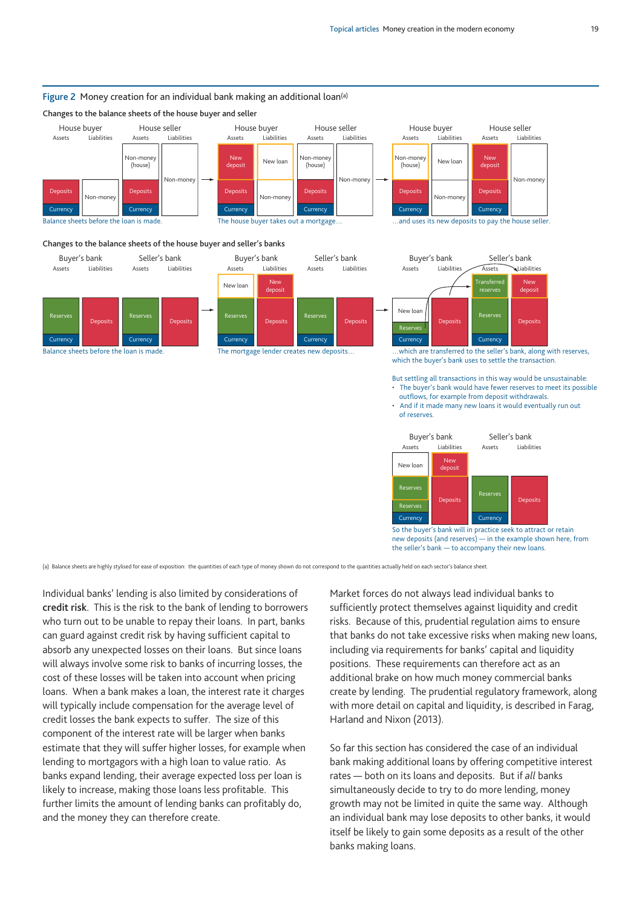Non-money

New loan

New



House buyer House seller House buyer House seller House buyer House seller Assets Liabilities Assets Liabilities Assets Liabilities Assets Liabilities Assets Liabilities Assets Liabilities

Non-mone<sup>®</sup>

New loan

#### **Figure 2** Money creation for an individual bank making an additional loan(a)

New

**Changes to the balance sheets of the house buyer and seller** 

Non-money

So the buyer's bank will in practice seek to attract or retain

new deposits (and reserves) — in the example shown here, from the seller's bank — to accompany their new loans.

(a) Balance sheets are highly stylised for ease of exposition: the quantities of each type of money shown do not correspond to the quantities actually held on each sector's balance sheet.

Individual banks' lending is also limited by considerations of **credit risk**. This is the risk to the bank of lending to borrowers who turn out to be unable to repay their loans. In part, banks can guard against credit risk by having sufficient capital to absorb any unexpected losses on their loans. But since loans will always involve some risk to banks of incurring losses, the cost of these losses will be taken into account when pricing loans. When a bank makes a loan, the interest rate it charges will typically include compensation for the average level of credit losses the bank expects to suffer. The size of this component of the interest rate will be larger when banks estimate that they will suffer higher losses, for example when lending to mortgagors with a high loan to value ratio. As banks expand lending, their average expected loss per loan is likely to increase, making those loans less profitable. This further limits the amount of lending banks can profitably do, and the money they can therefore create.

Market forces do not always lead individual banks to sufficiently protect themselves against liquidity and credit risks. Because of this, prudential regulation aims to ensure that banks do not take excessive risks when making new loans, including via requirements for banks' capital and liquidity positions. These requirements can therefore act as an additional brake on how much money commercial banks create by lending. The prudential regulatory framework, along with more detail on capital and liquidity, is described in Farag, Harland and Nixon (2013).

So far this section has considered the case of an individual bank making additional loans by offering competitive interest rates — both on its loans and deposits. But if *all* banks simultaneously decide to try to do more lending, money growth may not be limited in quite the same way. Although an individual bank may lose deposits to other banks, it would itself be likely to gain some deposits as a result of the other banks making loans.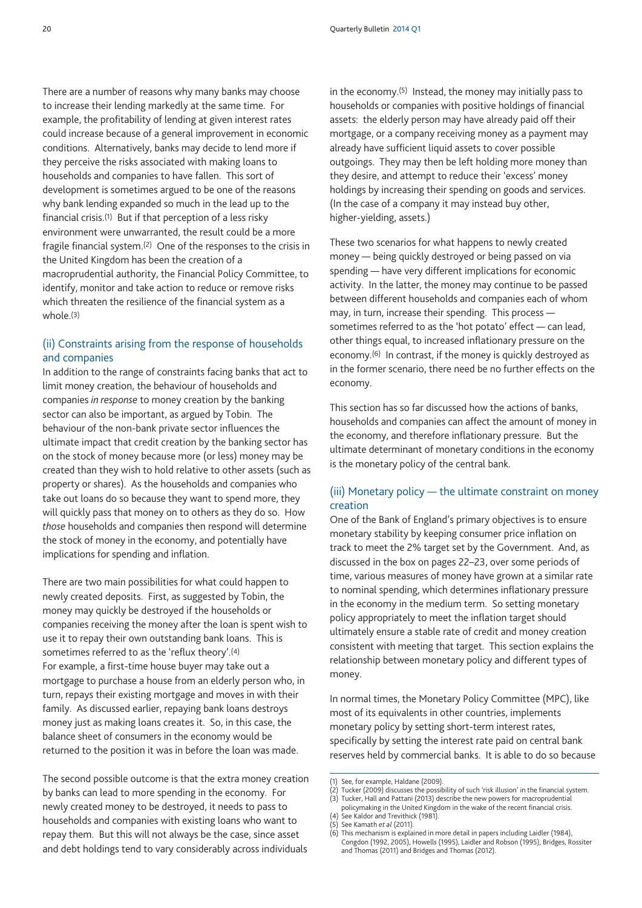There are a number of reasons why many banks may choose to increase their lending markedly at the same time. For example, the profitability of lending at given interest rates could increase because of a general improvement in economic conditions. Alternatively, banks may decide to lend more if they perceive the risks associated with making loans to households and companies to have fallen. This sort of development is sometimes argued to be one of the reasons why bank lending expanded so much in the lead up to the financial crisis.(1) But if that perception of a less risky environment were unwarranted, the result could be a more fragile financial system.(2) One of the responses to the crisis in the United Kingdom has been the creation of a macroprudential authority, the Financial Policy Committee, to identify, monitor and take action to reduce or remove risks which threaten the resilience of the financial system as a  $whole(3)$ 

#### (ii) Constraints arising from the response of households and companies

In addition to the range of constraints facing banks that act to limit money creation, the behaviour of households and companies *in response* to money creation by the banking sector can also be important, as argued by Tobin. The behaviour of the non-bank private sector influences the ultimate impact that credit creation by the banking sector has on the stock of money because more (or less) money may be created than they wish to hold relative to other assets (such as property or shares). As the households and companies who take out loans do so because they want to spend more, they will quickly pass that money on to others as they do so. How *those* households and companies then respond will determine the stock of money in the economy, and potentially have implications for spending and inflation.

There are two main possibilities for what could happen to newly created deposits. First, as suggested by Tobin, the money may quickly be destroyed if the households or companies receiving the money after the loan is spent wish to use it to repay their own outstanding bank loans. This is sometimes referred to as the 'reflux theory'.(4) For example, a first-time house buyer may take out a mortgage to purchase a house from an elderly person who, in turn, repays their existing mortgage and moves in with their family. As discussed earlier, repaying bank loans destroys money just as making loans creates it. So, in this case, the balance sheet of consumers in the economy would be returned to the position it was in before the loan was made.

The second possible outcome is that the extra money creation by banks can lead to more spending in the economy. For newly created money to be destroyed, it needs to pass to households and companies with existing loans who want to repay them. But this will not always be the case, since asset and debt holdings tend to vary considerably across individuals

in the economy.(5) Instead, the money may initially pass to households or companies with positive holdings of financial assets: the elderly person may have already paid off their mortgage, or a company receiving money as a payment may already have sufficient liquid assets to cover possible outgoings. They may then be left holding more money than they desire, and attempt to reduce their 'excess' money holdings by increasing their spending on goods and services. (In the case of a company it may instead buy other, higher-yielding, assets.)

These two scenarios for what happens to newly created money — being quickly destroyed or being passed on via spending — have very different implications for economic activity. In the latter, the money may continue to be passed between different households and companies each of whom may, in turn, increase their spending. This process sometimes referred to as the 'hot potato' effect — can lead, other things equal, to increased inflationary pressure on the economy.(6) In contrast, if the money is quickly destroyed as in the former scenario, there need be no further effects on the economy.

This section has so far discussed how the actions of banks, households and companies can affect the amount of money in the economy, and therefore inflationary pressure. But the ultimate determinant of monetary conditions in the economy is the monetary policy of the central bank.

#### (iii) Monetary policy — the ultimate constraint on money creation

One of the Bank of England's primary objectives is to ensure monetary stability by keeping consumer price inflation on track to meet the 2% target set by the Government. And, as discussed in the box on pages 22–23, over some periods of time, various measures of money have grown at a similar rate to nominal spending, which determines inflationary pressure in the economy in the medium term. So setting monetary policy appropriately to meet the inflation target should ultimately ensure a stable rate of credit and money creation consistent with meeting that target. This section explains the relationship between monetary policy and different types of money.

In normal times, the Monetary Policy Committee (MPC), like most of its equivalents in other countries, implements monetary policy by setting short-term interest rates, specifically by setting the interest rate paid on central bank reserves held by commercial banks. It is able to do so because

policymaking in the United Kingdom in the wake of the recent financial crisis.

<sup>(1)</sup> See, for example, Haldane (2009).

<sup>(2)</sup> Tucker (2009) discusses the possibility of such 'risk illusion' in the financial system.<br>(3) Tucker, Hall and Pattani (2013) describe the new powers for macroprudential Tucker, Hall and Pattani (2013) describe the new powers for macroprudential

See Kaldor and Trevithick (1981). See Kamath *et al* (2011).

<sup>(6)</sup> This mechanism is explained in more detail in papers including Laidler (1984), Congdon (1992, 2005), Howells (1995), Laidler and Robson (1995), Bridges, Rossiter and Thomas (2011) and Bridges and Thomas (2012).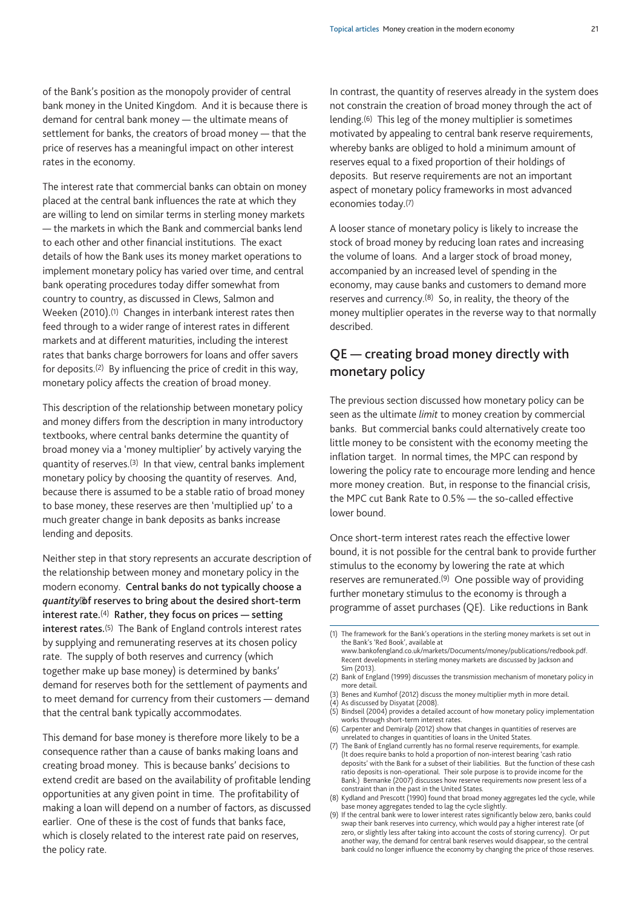of the Bank's position as the monopoly provider of central bank money in the United Kingdom. And it is because there is demand for central bank money — the ultimate means of settlement for banks, the creators of broad money — that the price of reserves has a meaningful impact on other interest rates in the economy.

The interest rate that commercial banks can obtain on money placed at the central bank influences the rate at which they are willing to lend on similar terms in sterling money markets — the markets in which the Bank and commercial banks lend to each other and other financial institutions. The exact details of how the Bank uses its money market operations to implement monetary policy has varied over time, and central bank operating procedures today differ somewhat from country to country, as discussed in Clews, Salmon and Weeken (2010).<sup>(1)</sup> Changes in interbank interest rates then feed through to a wider range of interest rates in different markets and at different maturities, including the interest rates that banks charge borrowers for loans and offer savers for deposits.(2) By influencing the price of credit in this way, monetary policy affects the creation of broad money.

This description of the relationship between monetary policy and money differs from the description in many introductory textbooks, where central banks determine the quantity of broad money via a 'money multiplier' by actively varying the quantity of reserves.(3) In that view, central banks implement monetary policy by choosing the quantity of reserves. And, because there is assumed to be a stable ratio of broad money to base money, these reserves are then 'multiplied up' to a much greater change in bank deposits as banks increase lending and deposits.

Neither step in that story represents an accurate description of the relationship between money and monetary policy in the modern economy. **Central banks do not typically choose a**  *quantity* **of reserves to bring about the desired short-term interest rate.**(4) **Rather, they focus on prices — setting interest rates.**(5) The Bank of England controls interest rates by supplying and remunerating reserves at its chosen policy rate. The supply of both reserves and currency (which together make up base money) is determined by banks' demand for reserves both for the settlement of payments and to meet demand for currency from their customers — demand that the central bank typically accommodates.

This demand for base money is therefore more likely to be a consequence rather than a cause of banks making loans and creating broad money. This is because banks' decisions to extend credit are based on the availability of profitable lending opportunities at any given point in time. The profitability of making a loan will depend on a number of factors, as discussed earlier. One of these is the cost of funds that banks face, which is closely related to the interest rate paid on reserves, the policy rate.

In contrast, the quantity of reserves already in the system does not constrain the creation of broad money through the act of lending.(6) This leg of the money multiplier is sometimes motivated by appealing to central bank reserve requirements, whereby banks are obliged to hold a minimum amount of reserves equal to a fixed proportion of their holdings of deposits. But reserve requirements are not an important aspect of monetary policy frameworks in most advanced economies today.(7)

A looser stance of monetary policy is likely to increase the stock of broad money by reducing loan rates and increasing the volume of loans. And a larger stock of broad money, accompanied by an increased level of spending in the economy, may cause banks and customers to demand more reserves and currency.(8) So, in reality, the theory of the money multiplier operates in the reverse way to that normally described.

# **QE — creating broad money directly with monetary policy**

The previous section discussed how monetary policy can be seen as the ultimate *limit* to money creation by commercial banks. But commercial banks could alternatively create too little money to be consistent with the economy meeting the inflation target. In normal times, the MPC can respond by lowering the policy rate to encourage more lending and hence more money creation. But, in response to the financial crisis, the MPC cut Bank Rate to 0.5% — the so-called effective lower bound.

Once short-term interest rates reach the effective lower bound, it is not possible for the central bank to provide further stimulus to the economy by lowering the rate at which reserves are remunerated.(9) One possible way of providing further monetary stimulus to the economy is through a programme of asset purchases (QE). Like reductions in Bank

- (3) Benes and Kumhof (2012) discuss the money multiplier myth in more detail.
- (4) As discussed by Disyatat (2008).
- (5) Bindseil (2004) provides a detailed account of how monetary policy implementation works through short-term interest rates.
- (6) Carpenter and Demiralp (2012) show that changes in quantities of reserves are unrelated to changes in quantities of loans in the United States.
- (7) The Bank of England currently has no formal reserve requirements, for example. (It does require banks to hold a proportion of non-interest bearing 'cash ratio deposits' with the Bank for a subset of their liabilities. But the function of these cash ratio deposits is non-operational. Their sole purpose is to provide income for the Bank.) Bernanke (2007) discusses how reserve requirements now present less of a constraint than in the past in the United States.
- (8) Kydland and Prescott (1990) found that broad money aggregates led the cycle, while base money aggregates tended to lag the cycle slightly.
- (9) If the central bank were to lower interest rates significantly below zero, banks could swap their bank reserves into currency, which would pay a higher interest rate (of zero, or slightly less after taking into account the costs of storing currency). Or put another way, the demand for central bank reserves would disappear, so the central bank could no longer influence the economy by changing the price of those reserves.

<sup>(1)</sup> The framework for the Bank's operations in the sterling money markets is set out in the Bank's 'Red Book', available at [www.bankofengland.co.uk/markets/Documents/money/publications/redbook.pdf.](www.bankofengland.co.uk/markets/Documents/money/publications/redbook.pdf) Recent developments in sterling money markets are discussed by Jackson and Sim (2013).

<sup>(2)</sup> Bank of England (1999) discusses the transmission mechanism of monetary policy in more detail.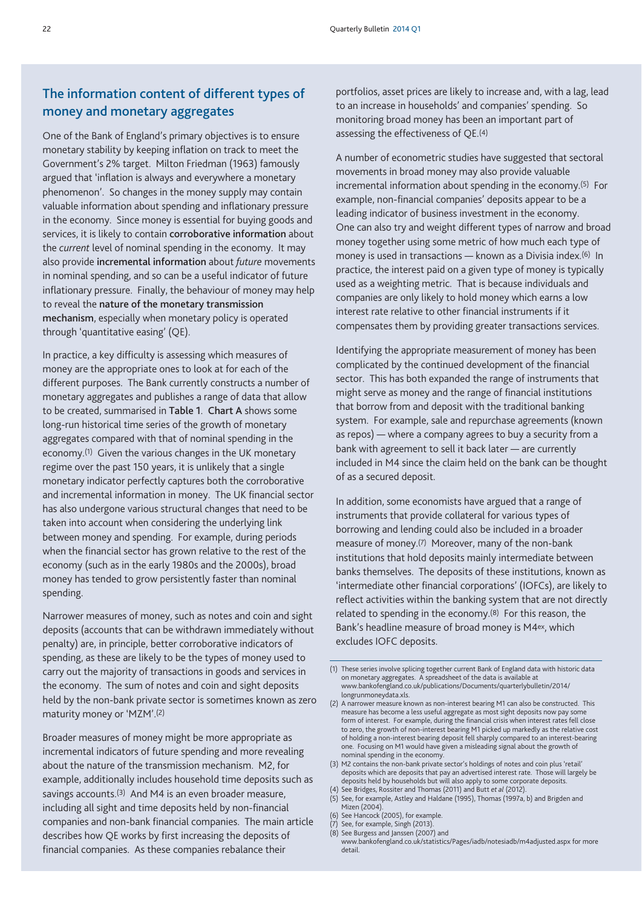# **The information content of different types of money and monetary aggregates**

One of the Bank of England's primary objectives is to ensure monetary stability by keeping inflation on track to meet the Government's 2% target. Milton Friedman (1963) famously argued that 'inflation is always and everywhere a monetary phenomenon'. So changes in the money supply may contain valuable information about spending and inflationary pressure in the economy. Since money is essential for buying goods and services, it is likely to contain **corroborative information** about the *current* level of nominal spending in the economy. It may also provide **incremental information** about *future* movements in nominal spending, and so can be a useful indicator of future inflationary pressure. Finally, the behaviour of money may help to reveal the **nature of the monetary transmission mechanism**, especially when monetary policy is operated through 'quantitative easing' (QE).

In practice, a key difficulty is assessing which measures of money are the appropriate ones to look at for each of the different purposes. The Bank currently constructs a number of monetary aggregates and publishes a range of data that allow to be created, summarised in **Table 1**. **Chart A** shows some long-run historical time series of the growth of monetary aggregates compared with that of nominal spending in the economy.<sup>(1)</sup> Given the various changes in the UK monetary regime over the past 150 years, it is unlikely that a single monetary indicator perfectly captures both the corroborative and incremental information in money. The UK financial sector has also undergone various structural changes that need to be taken into account when considering the underlying link between money and spending. For example, during periods when the financial sector has grown relative to the rest of the economy (such as in the early 1980s and the 2000s), broad money has tended to grow persistently faster than nominal spending.

Narrower measures of money, such as notes and coin and sight deposits (accounts that can be withdrawn immediately without penalty) are, in principle, better corroborative indicators of spending, as these are likely to be the types of money used to carry out the majority of transactions in goods and services in the economy. The sum of notes and coin and sight deposits held by the non-bank private sector is sometimes known as zero maturity money or 'MZM'.(2)

Broader measures of money might be more appropriate as incremental indicators of future spending and more revealing about the nature of the transmission mechanism. M2, for example, additionally includes household time deposits such as savings accounts.<sup>(3)</sup> And M4 is an even broader measure, including all sight and time deposits held by non-financial companies and non-bank financial companies. The main article describes how QE works by first increasing the deposits of financial companies. As these companies rebalance their

portfolios, asset prices are likely to increase and, with a lag, lead to an increase in households' and companies' spending. So monitoring broad money has been an important part of assessing the effectiveness of QE.(4)

A number of econometric studies have suggested that sectoral movements in broad money may also provide valuable incremental information about spending in the economy.(5) For example, non-financial companies' deposits appear to be a leading indicator of business investment in the economy. One can also try and weight different types of narrow and broad money together using some metric of how much each type of money is used in transactions — known as a Divisia index.(6) In practice, the interest paid on a given type of money is typically used as a weighting metric. That is because individuals and companies are only likely to hold money which earns a low interest rate relative to other financial instruments if it compensates them by providing greater transactions services.

Identifying the appropriate measurement of money has been complicated by the continued development of the financial sector. This has both expanded the range of instruments that might serve as money and the range of financial institutions that borrow from and deposit with the traditional banking system. For example, sale and repurchase agreements (known as repos) — where a company agrees to buy a security from a bank with agreement to sell it back later — are currently included in M4 since the claim held on the bank can be thought of as a secured deposit.

In addition, some economists have argued that a range of instruments that provide collateral for various types of borrowing and lending could also be included in a broader measure of money.(7) Moreover, many of the non-bank institutions that hold deposits mainly intermediate between banks themselves. The deposits of these institutions, known as 'intermediate other financial corporations' (IOFCs), are likely to reflect activities within the banking system that are not directly related to spending in the economy.(8) For this reason, the Bank's headline measure of broad money is M4ex, which excludes IOFC deposits.

(8) See Burgess and Janssen (2007) and

<sup>(1)</sup> These series involve splicing together current Bank of England data with historic data on monetary aggregates. A spreadsheet of the data is available at [www.bankofengland.co.uk/publications/Documents/quarterlybulletin/2014/](www.bankofengland.co.uk/publications/Documents/quarterlybulletin/2014/longrunmoneydata.xls)  longrunmoneydata.xls.

<sup>(2)</sup> A narrower measure known as non-interest bearing M1 can also be constructed. This measure has become a less useful aggregate as most sight deposits now pay some form of interest. For example, during the financial crisis when interest rates fell close to zero, the growth of non-interest bearing M1 picked up markedly as the relative cost of holding a non-interest bearing deposit fell sharply compared to an interest-bearing one. Focusing on M1 would have given a misleading signal about the growth of nominal spending in the economy.

<sup>(3)</sup> M2 contains the non-bank private sector's holdings of notes and coin plus 'retail' deposits which are deposits that pay an advertised interest rate. Those will largely be deposits held by households but will also apply to some corporate deposits. (4) See Bridges, Rossiter and Thomas (2011) and Butt *et al* (2012).

<sup>(5)</sup> See, for example, Astley and Haldane (1995), Thomas (1997a, b) and Brigden and

Mizen (2004) (6) See Hancock (2005), for example.

<sup>(7)</sup> See, for example, Singh (2013).

[www.bankofengland.co.uk/statistics/Pages/iadb/notesiadb/m4adjusted.aspx for more](www.bankofengland.co.uk/statistics/Pages/iadb/notesiadb/m4adjusted.aspx)  detail.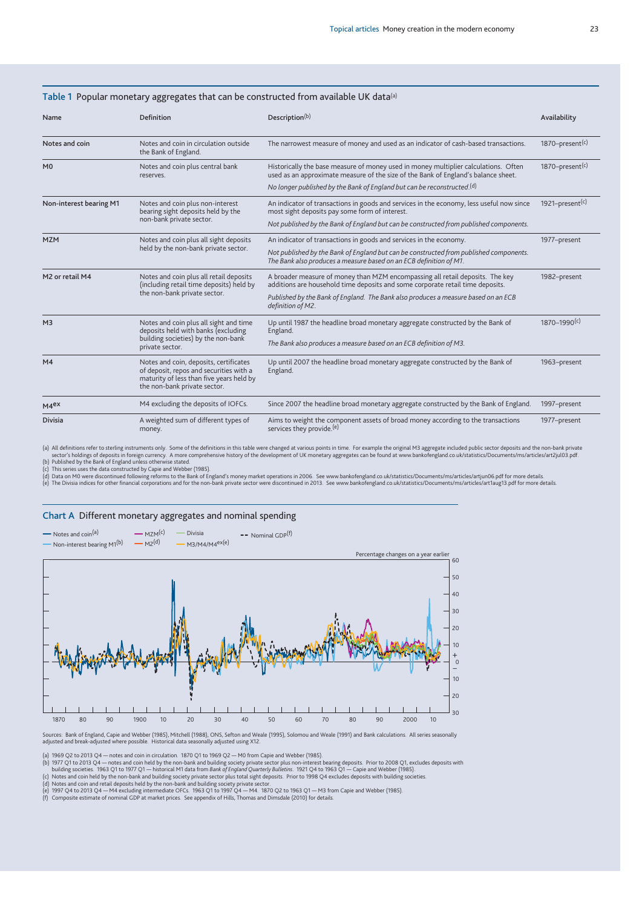| Name                    | <b>Definition</b>                                                                                                                                             | Description <sup>(b)</sup>                                                                                                                                                | Availability                |
|-------------------------|---------------------------------------------------------------------------------------------------------------------------------------------------------------|---------------------------------------------------------------------------------------------------------------------------------------------------------------------------|-----------------------------|
| Notes and coin          | Notes and coin in circulation outside<br>the Bank of England.                                                                                                 | The narrowest measure of money and used as an indicator of cash-based transactions.                                                                                       | 1870–present <sup>(c)</sup> |
| M <sub>0</sub>          | Notes and coin plus central bank<br>reserves.                                                                                                                 | Historically the base measure of money used in money multiplier calculations. Often<br>used as an approximate measure of the size of the Bank of England's balance sheet. | 1870–present <sup>(c)</sup> |
|                         |                                                                                                                                                               | No longer published by the Bank of England but can be reconstructed. (d)                                                                                                  |                             |
| Non-interest bearing M1 | Notes and coin plus non-interest<br>bearing sight deposits held by the<br>non-bank private sector.                                                            | An indicator of transactions in goods and services in the economy, less useful now since<br>most sight deposits pay some form of interest.                                | 1921-present <sup>(c)</sup> |
|                         |                                                                                                                                                               | Not published by the Bank of England but can be constructed from published components.                                                                                    |                             |
| <b>MZM</b>              | Notes and coin plus all sight deposits<br>held by the non-bank private sector.                                                                                | An indicator of transactions in goods and services in the economy.                                                                                                        | 1977-present                |
|                         |                                                                                                                                                               | Not published by the Bank of England but can be constructed from published components.<br>The Bank also produces a measure based on an ECB definition of M1.              |                             |
| M2 or retail M4         | Notes and coin plus all retail deposits<br>(including retail time deposits) held by<br>the non-bank private sector.                                           | A broader measure of money than MZM encompassing all retail deposits. The key<br>additions are household time deposits and some corporate retail time deposits.           | 1982-present                |
|                         |                                                                                                                                                               | Published by the Bank of England. The Bank also produces a measure based on an ECB<br>definition of M2.                                                                   |                             |
| M <sub>3</sub>          | Notes and coin plus all sight and time<br>deposits held with banks (excluding<br>building societies) by the non-bank<br>private sector.                       | Up until 1987 the headline broad monetary aggregate constructed by the Bank of<br>England.                                                                                | $1870 - 1990(c)$            |
|                         |                                                                                                                                                               | The Bank also produces a measure based on an ECB definition of M3.                                                                                                        |                             |
| M <sub>4</sub>          | Notes and coin, deposits, certificates<br>of deposit, repos and securities with a<br>maturity of less than five years held by<br>the non-bank private sector. | Up until 2007 the headline broad monetary aggregate constructed by the Bank of<br>England.                                                                                | 1963-present                |
| M4 <sup>ex</sup>        | M4 excluding the deposits of IOFCs.                                                                                                                           | Since 2007 the headline broad monetary aggregate constructed by the Bank of England.                                                                                      | 1997-present                |
| <b>Divisia</b>          | A weighted sum of different types of<br>money.                                                                                                                | Aims to weight the component assets of broad money according to the transactions<br>services they provide. <sup>(e)</sup>                                                 | 1977-present                |

#### **Table 1** Popular monetary aggregates that can be constructed from available UK data(a)

(a) All definitions refer to sterling instruments only. Some of the definitions in this table were changed at various points in time. For example the original M3 aggregate included public sector deposits and the sector of e non-bank private<br>les/art2jul03.pdf.

ls. details.

#### **Chart A** Different monetary aggregates and nominal spending



Sources: Bank of England, Capie and Webber (1985), Mitchell (1988), ONS, Sefton and Weale (1995), Solomou and Weale (1991) and Bank calculations. All series seasonally<br>adjusted and break-adjusted where possible. Historic

(a) 1969 Q2 to 2013 Q4 — notes and coin in circulation. 1870 Q1 to 1969 Q2 — M0 from Capie and Webber (1985).<br>(b) 1977 Q1 to 2013 Q4 — notes and coin held by the non-bank and building society private sector plus non-intere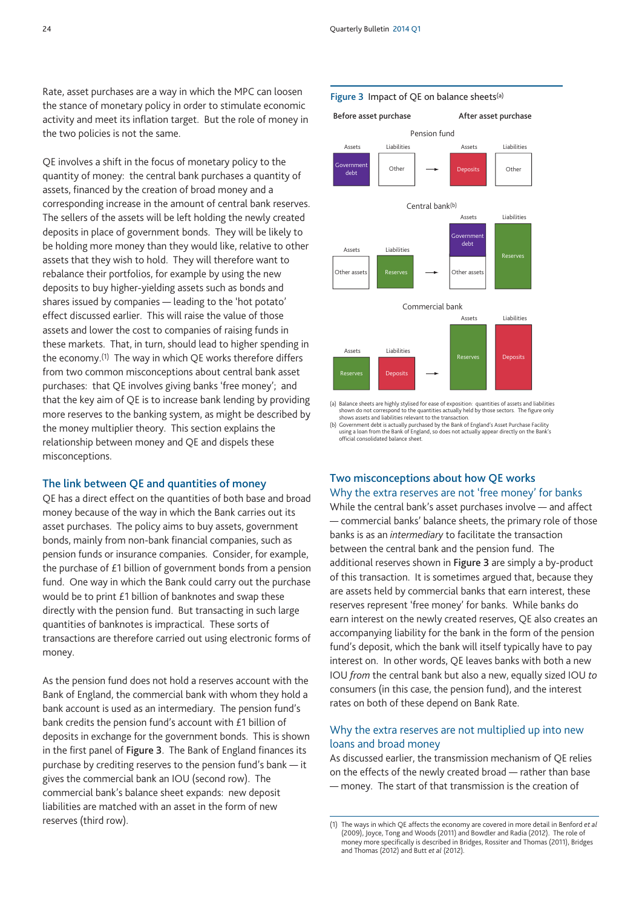Rate, asset purchases are a way in which the MPC can loosen the stance of monetary policy in order to stimulate economic activity and meet its inflation target. But the role of money in the two policies is not the same.

QE involves a shift in the focus of monetary policy to the quantity of money: the central bank purchases a quantity of assets, financed by the creation of broad money and a corresponding increase in the amount of central bank reserves. The sellers of the assets will be left holding the newly created deposits in place of government bonds. They will be likely to be holding more money than they would like, relative to other assets that they wish to hold. They will therefore want to rebalance their portfolios, for example by using the new deposits to buy higher-yielding assets such as bonds and shares issued by companies — leading to the 'hot potato' effect discussed earlier. This will raise the value of those assets and lower the cost to companies of raising funds in these markets. That, in turn, should lead to higher spending in the economy.(1) The way in which QE works therefore differs from two common misconceptions about central bank asset purchases: that QE involves giving banks 'free money'; and that the key aim of QE is to increase bank lending by providing more reserves to the banking system, as might be described by the money multiplier theory. This section explains the relationship between money and QE and dispels these misconceptions.

#### **The link between QE and quantities of money**

QE has a direct effect on the quantities of both base and broad money because of the way in which the Bank carries out its asset purchases. The policy aims to buy assets, government bonds, mainly from non-bank financial companies, such as pension funds or insurance companies. Consider, for example, the purchase of £1 billion of government bonds from a pension fund. One way in which the Bank could carry out the purchase would be to print £1 billion of banknotes and swap these directly with the pension fund. But transacting in such large quantities of banknotes is impractical. These sorts of transactions are therefore carried out using electronic forms of money.

As the pension fund does not hold a reserves account with the Bank of England, the commercial bank with whom they hold a bank account is used as an intermediary. The pension fund's bank credits the pension fund's account with £1 billion of deposits in exchange for the government bonds. This is shown in the first panel of **Figure 3**. The Bank of England finances its purchase by crediting reserves to the pension fund's bank — it gives the commercial bank an IOU (second row). The commercial bank's balance sheet expands: new deposit liabilities are matched with an asset in the form of new reserves (third row).



**Figure 3** Impact of QE on balance sheets(a)

(a) Balance sheets are highly stylised for ease of exposition: quantities of assets and liabilities shown do not correspond to the quantities actually held by those sectors. The figure only shows assets and liabilities relevant to the transaction.

(b) Government debt is actually purchased by the Bank of England's Asset Purchase Facility using a loan from the Bank of England, so does not actually appear directly on the Bank's official consolidated balance sheet.

#### **Two misconceptions about how QE works**  Why the extra reserves are not 'free money' for banks

While the central bank's asset purchases involve — and affect — commercial banks' balance sheets, the primary role of those banks is as an *intermediary* to facilitate the transaction between the central bank and the pension fund. The additional reserves shown in **Figure 3** are simply a by-product of this transaction. It is sometimes argued that, because they are assets held by commercial banks that earn interest, these reserves represent 'free money' for banks. While banks do earn interest on the newly created reserves, QE also creates an accompanying liability for the bank in the form of the pension fund's deposit, which the bank will itself typically have to pay interest on. In other words, QE leaves banks with both a new IOU *from* the central bank but also a new, equally sized IOU *to*  consumers (in this case, the pension fund), and the interest rates on both of these depend on Bank Rate.

### Why the extra reserves are not multiplied up into new loans and broad money

As discussed earlier, the transmission mechanism of QE relies on the effects of the newly created broad — rather than base — money. The start of that transmission is the creation of

<sup>(1)</sup> The ways in which QE affects the economy are covered in more detail in Benford *et al*  (2009), Joyce, Tong and Woods (2011) and Bowdler and Radia (2012). The role of money more specifically is described in Bridges, Rossiter and Thomas (2011), Bridges and Thomas (2012) and Butt *et al* (2012).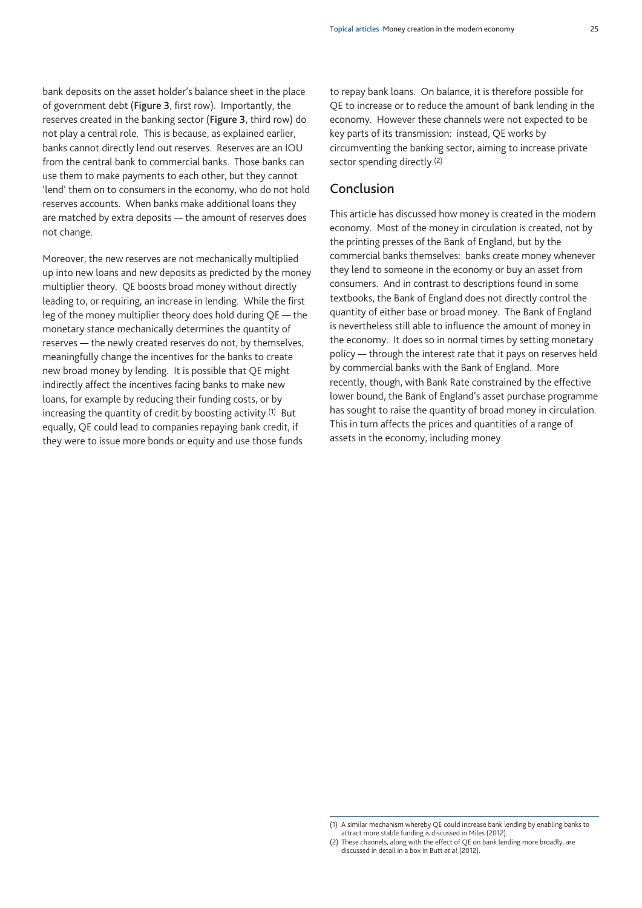bank deposits on the asset holder's balance sheet in the place of government debt (**Figure 3**, first row). Importantly, the reserves created in the banking sector (**Figure 3**, third row) do not play a central role. This is because, as explained earlier, banks cannot directly lend out reserves. Reserves are an IOU from the central bank to commercial banks. Those banks can use them to make payments to each other, but they cannot 'lend' them on to consumers in the economy, who do not hold reserves accounts. When banks make additional loans they are matched by extra deposits — the amount of reserves does not change.

Moreover, the new reserves are not mechanically multiplied up into new loans and new deposits as predicted by the money multiplier theory. QE boosts broad money without directly leading to, or requiring, an increase in lending. While the first leg of the money multiplier theory does hold during QE — the monetary stance mechanically determines the quantity of reserves — the newly created reserves do not, by themselves, meaningfully change the incentives for the banks to create new broad money by lending. It is possible that QE might indirectly affect the incentives facing banks to make new loans, for example by reducing their funding costs, or by increasing the quantity of credit by boosting activity.(1) But equally, QE could lead to companies repaying bank credit, if they were to issue more bonds or equity and use those funds

to repay bank loans. On balance, it is therefore possible for QE to increase or to reduce the amount of bank lending in the economy. However these channels were not expected to be key parts of its transmission: instead, QE works by circumventing the banking sector, aiming to increase private sector spending directly.(2)

### **Conclusion**

This article has discussed how money is created in the modern economy. Most of the money in circulation is created, not by the printing presses of the Bank of England, but by the commercial banks themselves: banks create money whenever they lend to someone in the economy or buy an asset from consumers. And in contrast to descriptions found in some textbooks, the Bank of England does not directly control the quantity of either base or broad money. The Bank of England is nevertheless still able to influence the amount of money in the economy. It does so in normal times by setting monetary policy — through the interest rate that it pays on reserves held by commercial banks with the Bank of England. More recently, though, with Bank Rate constrained by the effective lower bound, the Bank of England's asset purchase programme has sought to raise the quantity of broad money in circulation. This in turn affects the prices and quantities of a range of assets in the economy, including money.

<sup>(1)</sup> A similar mechanism whereby QE could increase bank lending by enabling banks to attract more stable funding is discussed in Miles (2012).

<sup>(2)</sup> These channels, along with the effect of QE on bank lending more broadly, are discussed in detail in a box in Butt *et al* (2012).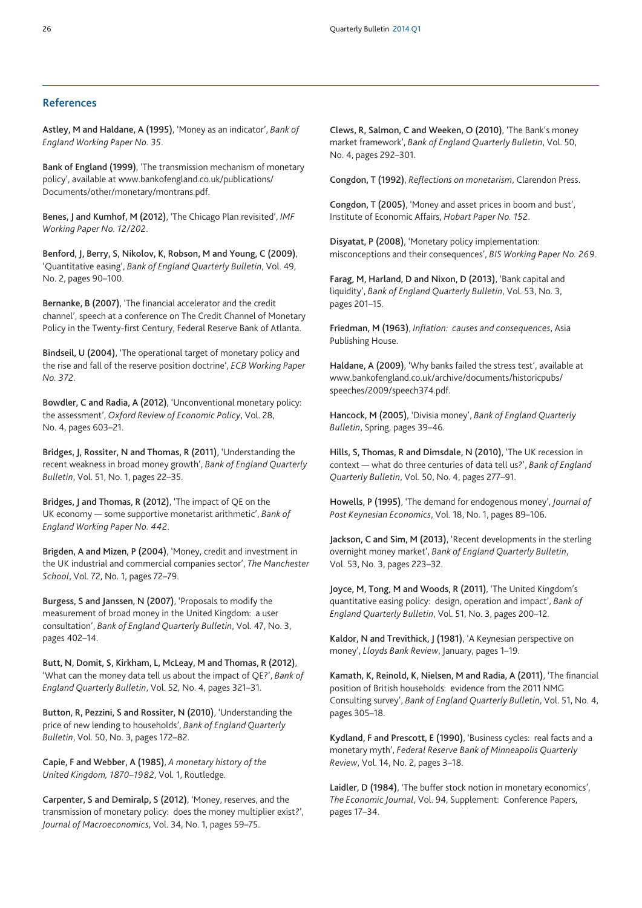#### **References**

**Astley, M and Haldane, A (1995)**, 'Money as an indicator', *Bank of England Working Paper No. 35*.

**Bank of England (1999)**, 'The transmission mechanism of monetary [policy', available at www.bankofengland.co.uk/publications/](www.bankofengland.co.uk/publications/Documents/other/monetary/montrans.pdf)  Documents/other/monetary/montrans.pdf.

**Benes, J and Kumhof, M (2012)**, 'The Chicago Plan revisited', *IMF Working Paper No. 12/202*.

**Benford, J, Berry, S, Nikolov, K, Robson, M and Young, C (2009)**, 'Quantitative easing', *Bank of England Quarterly Bulletin*, Vol. 49, No. 2, pages 90–100.

**Bernanke, B (2007)**, 'The financial accelerator and the credit channel', speech at a conference on The Credit Channel of Monetary Policy in the Twenty-first Century, Federal Reserve Bank of Atlanta.

**Bindseil, U (2004)**, 'The operational target of monetary policy and the rise and fall of the reserve position doctrine', *ECB Working Paper No. 372*.

**Bowdler, C and Radia, A (2012)**, 'Unconventional monetary policy: the assessment', *Oxford Review of Economic Policy*, Vol. 28, No. 4, pages 603–21.

**Bridges, J, Rossiter, N and Thomas, R (2011)**, 'Understanding the recent weakness in broad money growth', *Bank of England Quarterly Bulletin*, Vol. 51, No. 1, pages 22–35.

**Bridges, J and Thomas, R (2012)**, 'The impact of QE on the UK economy — some supportive monetarist arithmetic', *Bank of England Working Paper No. 442*.

**Brigden, A and Mizen, P (2004)**, 'Money, credit and investment in the UK industrial and commercial companies sector', *The Manchester School*, Vol. 72, No. 1, pages 72–79.

**Burgess, S and Janssen, N (2007)**, 'Proposals to modify the measurement of broad money in the United Kingdom: a user consultation', *Bank of England Quarterly Bulletin*, Vol. 47, No. 3, pages 402–14.

**Butt, N, Domit, S, Kirkham, L, McLeay, M and Thomas, R (2012)**, 'What can the money data tell us about the impact of QE?', *Bank of England Quarterly Bulletin*, Vol. 52, No. 4, pages 321–31.

**Button, R, Pezzini, S and Rossiter, N (2010)**, 'Understanding the price of new lending to households', *Bank of England Quarterly Bulletin*, Vol. 50, No. 3, pages 172–82.

**Capie, F and Webber, A (1985)**, *A monetary history of the United Kingdom, 1870–1982*, Vol. 1, Routledge.

**Carpenter, S and Demiralp, S (2012)**, 'Money, reserves, and the transmission of monetary policy: does the money multiplier exist?', *Journal of Macroeconomics*, Vol. 34, No. 1, pages 59–75.

**Clews, R, Salmon, C and Weeken, O (2010)**, 'The Bank's money market framework', *Bank of England Quarterly Bulletin*, Vol. 50, No. 4, pages 292–301.

**Congdon, T (1992)**, *Reflections on monetarism*, Clarendon Press.

**Congdon, T (2005)**, 'Money and asset prices in boom and bust', Institute of Economic Affairs, *Hobart Paper No. 152*.

**Disyatat, P (2008)**, 'Monetary policy implementation: misconceptions and their consequences', *BIS Working Paper No. 269*.

**Farag, M, Harland, D and Nixon, D (2013)**, 'Bank capital and liquidity', *Bank of England Quarterly Bulletin*, Vol. 53, No. 3, pages 201–15.

**Friedman, M (1963)**, *Inflation: causes and consequences*, Asia Publishing House.

**Haldane, A (2009)**, 'Why banks failed the stress test', available at [www.bankofengland.co.uk/archive/documents/historicpubs/](www.bankofengland.co.uk/archive/documents/historicpubs/speeches/2009/speech374.pdf)  speeches/2009/speech374.pdf.

**Hancock, M (2005)**, 'Divisia money', *Bank of England Quarterly Bulletin*, Spring, pages 39–46.

**Hills, S, Thomas, R and Dimsdale, N (2010)**, 'The UK recession in context — what do three centuries of data tell us?', *Bank of England Quarterly Bulletin*, Vol. 50, No. 4, pages 277–91.

**Howells, P (1995)**, 'The demand for endogenous money', *Journal of Post Keynesian Economics*, Vol. 18, No. 1, pages 89–106.

**Jackson, C and Sim, M (2013)**, 'Recent developments in the sterling overnight money market', *Bank of England Quarterly Bulletin*, Vol. 53, No. 3, pages 223–32.

**Joyce, M, Tong, M and Woods, R (2011)**, 'The United Kingdom's quantitative easing policy: design, operation and impact', *Bank of England Quarterly Bulletin*, Vol. 51, No. 3, pages 200–12.

**Kaldor, N and Trevithick, J (1981)**, 'A Keynesian perspective on money', *Lloyds Bank Review*, January, pages 1–19.

**Kamath, K, Reinold, K, Nielsen, M and Radia, A (2011)**, 'The financial position of British households: evidence from the 2011 NMG Consulting survey', *Bank of England Quarterly Bulletin*, Vol. 51, No. 4, pages 305–18.

**Kydland, F and Prescott, E (1990)**, 'Business cycles: real facts and a monetary myth', *Federal Reserve Bank of Minneapolis Quarterly Review*, Vol. 14, No. 2, pages 3–18.

**Laidler, D (1984)**, 'The buffer stock notion in monetary economics', *The Economic Journal*, Vol. 94, Supplement: Conference Papers, pages 17–34.